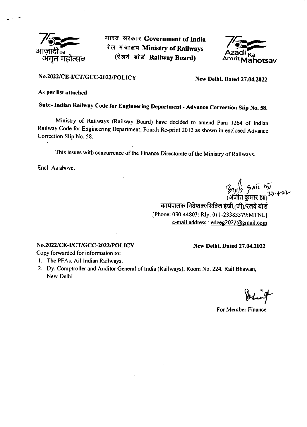

भारत सरकार Government of India रेल मंत्रालय Ministry of Railways (रेलवे बोर्ड Railway Board)



### No.2022/CE-I/CT/GCC-2022/POLICY New Delhi, Dated 27.04.2022

#### As per list attached

Sub:- Indian Railway Code for Engineering Department - Advance Correction Slip No. 58.

Ministry of Railways (Railway Board) have decided to amend Para 1264 of Indian Railway code for Engineering Department, Fourth Re-print 2012 as shown in enclosed Advance Correction Slip No. 58.

This issues with concurrence of the Finance Directorate of the Ministry of Railways.

Encl: As above.

 $2n\sqrt{2}$  anic  $n\sqrt{2}$ *7* गुगा? - ?^^<br>(अंजीत कुमार झा)<br>'

कार्यपालक निदेशक/सिविल इंजी.(जी)/रेलवे बोर्ड [Phone: 030-44803: Rly: 0l l-23383379:MTNL] e-mail address : edceg2022@gmail.com

#### No.2022/CE-I/CT/GCC-2022/POLICY New Delhi, Dated 27.04.2022

Copy forwarded for information to:

- l. The PFAs, All Indian Railways.
- 2. Dy. Comptroller and Auditor General of India (Railways), Room No. 224, Rail Bhawan, New Delhi

For Member Finance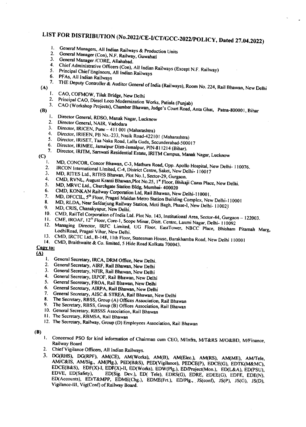# LIST FOR DISTRIBUTION (No.2022/CE-L/CT/GCC-2022/POLICY, Dated 27.04.2022)

- General Managers, All Indian Railways & Production Units  $\mathbf{1}$ .  $\overline{2}$
- General Manager (Con), N.F. Railway, Guwahati  $3.$
- General Manager /CORE, Allahabad.  $4<sup>1</sup>$
- Chief Administrative Officers (Con), All Indian Railways (Except N.F. Railway)
- 5. Principal Chief Engineers, All Indian Railways 6.
- PFAs, All Indian Railways  $7.$

THE Deputy Controller & Auditor General of India (Railways), Room No. 224, Rail Bhawan, New Delhi

- $(A)$
- CAO, COFMOW, Tilak Bridge, New Delhi Ι.
- Principal CAO, Diesel Loco Modernization Works, Patiala (Punjab)  $2.$  $3.$
- CAO (Workshop Projects), Chamber Bhawan, Judge's Court Road, Anta Ghat, Patna-800001, Bihar
- $(B)$ 
	- Director General, RDSO, Manak Nagar, Lucknow  $1.$
	- Director General, NAIR, Vadodara  $2.$
	- Director, IRICEN, Pune 411 001 (Maharashtra)  $3<sub>1</sub>$
	- Director, IRIEEN, PB No.-233, Nasik Road-422101 (Maharashtra)  $4<sub>1</sub>$ 5.
	- Director, IRISET, Taa Naka Road, Lalla Guda, Secunderabad-500017 6.
	- Director, IRIMEE, Jamalpur Distt-Jamalpur, PIN-811214 (Bihar). 7.
	- Director, IRITM, Sarswati Residential Estate, IRITM Campus, Manak Nagar, Lucknow
- $(C)$ 
	- MD, CONCOR, Concor Bhawan, C-3, Mathura Road, Opp. Apollo Hospital, New Delhi- 110076. Ī.
	- IRCON International Limited, C-4, District Centre, Saket, New Delhi-110017  $2.$ 3.
	- MD, RITES Ltd., RITES Bhawan, Plot No.1, Sector-29, Gurgaon. 4.
	- CMD, RVNL, August Kranti Bhawan, Plot No.25, 1<sup>st</sup> Floor, Bhikaji Cama Place, New Delhi. 5.
	- MD, MRVC Ltd., Churchgate Station Bldg, Mumbai- 400020 6.
	- CMD, KONKAN Railway Corporation Ltd, Rail Bhawan, New Delhi-110001. 7.
	- MD, DFCCIL, 5<sup>th</sup> Floor, Pragati Maidan Metro Station Building Complex, New Delhi-110001 8.
	- MD, RLDA, Near Safdarjung Railway Station, Moti Bagh, Phase-I, New Delhi- 110021 9.
	- MD, CRIS, Chanakyapur, New Delhi.
	- 10. CMD, RailTel Corporation of India Ltd. Plot No. 143, Institutional Area, Sector-44, Gurgaon 122003.
	- 11. CME, IROAF, 12<sup>th</sup> Floor, Core-1, Scope Minar, Distt. Centre, Laxmi Nagar, Delhi- 110092  $12.$
	- Managing Director, IRFC Limited, UG Floor, EastTower, NBCC Place, Bhisham Pitamah Marg, LodhiRoad, Pragati Vihar, New Delhi.
	- 13. CMD, IRCTC Ltd., B-148, 11th Floor, Statesman House, Barakhamba Road, New Delhi 110001
- 14. CMD, Braithwaite & Co. limited, 5 Hide Road Kolkata 700043. Copy to:

### $\Delta$

- 1. General Secretary, IRCA, DRM Office, New Delhi.
- General Secretary, AIRF, Rail Bhawan, New Delhi  $2.$
- General Secretary, NFIR, Rail Bhawan, New Delhi 3.
- General Secretary, IRPOF, Rail Bhawan, New Delhi 4.
- General Secretary, FROA, Rail Bhawan, New Delhi 5.
- General Secretary, AIRPA, Rail Bhawan, New Delhi 6.
- 7.
- General Secretary, AISC & STREA, Rail Bhawan, New Delhi 8.
- The Secretary, RBSS, Group (A) Offices Association, Rail Bhawan 9.
- The Secretary, RBSS, Group (B) Offices Association, Rail Bhawan
- 10. General Secretary, RBSSS Association, Rail Bhawan
- 11. The Secretary, RBMSA, Rail Bhawan
- 12. The Secretary, Railway, Group (D) Employees Association, Rail Bhawan

#### $(B)$

- 1. Concerned PSO for kind information of Chairman cum CEO, M/Infra, M/T&RS M/O&BD, M/Finance, Railway Board
- 2. Chief Vigilance Officers, All Indian Railways.
- 3. DG(RHS), DG(RPF), AM(CE), AM(Works), AM(B), AM(Elec.), AM(RS), AM(ME), AM/Tele, AM/C&IS, AM/Sig., AM(Plg.), PED(B&S), PED(Vigilance), PEDCE(P), EDCE(G), EDTK(M&MC), EDCE(B&S), EDF(X)-I, EDF(X)-II, ED(Works), EDW(Plg.), ED/Project(Mon.), ED(L&A), ED(PSU), EDVE, ED(Safety), ED(Sig. Dev.), ED( Tele), EDRS(G), EDRE, EDEE(G), EDFE, EDE(N), ED(Accounts), ED/T&MPP, EDME(Chg.), EDME(Frt.), ED/Plg., JS(conf), JS(P), JS(G), JS(D), Vigilance-III, Vig(Conf) of Railway Board.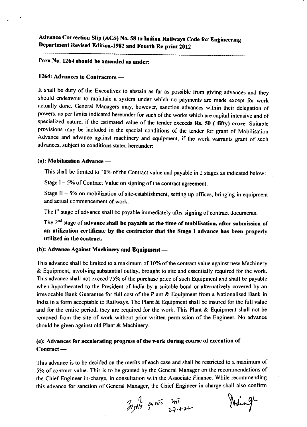Advance Correction Slip (ACS) No.58 to Indian Raihrays Code for Engineering Department Revised Edition-1982 and Fourth Re.print <sup>2012</sup>

Para No. 1264 should be amended as under:

## 1264: Advances to Contractors -

It shall be duty of the Executives to abstain as far as possible from giving advances and they should endeavour to maintain a system under which no payments are made except for work actually done. General Managers may, however, sanction advances within their delegation of powers, as per limits indicated hereunder for such of the works which are capital intensive and of specialized nature, if the estimated value of the tender exceeds Rs. 50 ( fifty) crore. Suitable provisions may be included in the special conditions of the tender for grant of Mobilisation Advance and advance against machinery and equipment, if the work warrants grant of such advances, subject to conditions stated hereunder:

## (a): Mobilisation Advance -

This shall be limited to 10% of the Contract value and payable in 2 stages as indicated below:

Stage  $I - 5%$  of Contract Value on signing of the contract agreement.

Stage II  $-5%$  on mobilization of site-establishment, setting up offices, bringing in equipment and actual commencement of work.

The I<sup>st</sup> stage of advance shall be payable immediately after signing of contract documents.

The  $2<sup>nd</sup>$  stage of advance shall be payable at the time of mobilisation, after submission of an utilization certificate by the contractor that the Stage I advance has been properly utilized in the contract.

## (b): Advance Against Machinery and Equipment –

This advance shall be limited to a maximum of 10% of the contract value against new Machinery & Equipment, involving substantial outlay, brought to site and essentially required for the work. This advance shall not exceed 75% of the purchase price of such Equipment and shall be payable when hypothecated to the President of India by a suitable bond or altematively covered by an irrevocable Bank Cuarantee for full cost of the Plant & Equipment from a Nationalised Bank in lndia in a form acceptable to Railways. The Plant & Equipment shall be insured for the full value and for the entire period, they are required for the work. This Plant & Equipment shall not be removed from the site of work without prior written permission of the Engineer. No advance should be given against old Plant & Machinery.

### (c): Advances for accelerating progress of the work during course of execution of Contract -

This advance is to be decided on the merits of each case and shall be restricted to a maximum of 5% of contract value. This is to be granted by the General Manager on the recommendations of the Chief Engineer in-charge, in consultation with the Associate Finance. While recommending this advance for sanction of Ceneral Manager, the Chief Engineer in-charge shall also confirm

 $\frac{1}{2}$   $\frac{1}{2}$   $\frac{1}{2}$   $\frac{1}{2}$   $\frac{1}{2}$ Juing